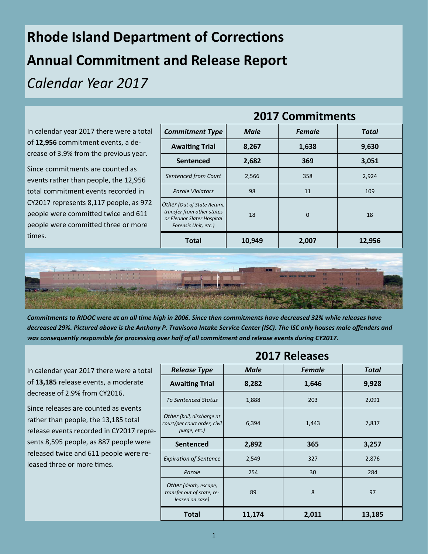## **Rhode Island Department of Corrections Annual Commitment and Release Report**  *Calendar Year 2017*

| <b>Commitment Type</b>                                                                                          | <b>Male</b> | <b>Female</b> | <b>Total</b>            |
|-----------------------------------------------------------------------------------------------------------------|-------------|---------------|-------------------------|
| <b>Awaiting Trial</b>                                                                                           | 8,267       | 1,638         | 9,630                   |
| <b>Sentenced</b>                                                                                                | 2,682       | 369           | 3,051                   |
| Sentenced from Court                                                                                            | 2,566       | 358           | 2,924                   |
| <b>Parole Violators</b>                                                                                         | 98          | 11            | 109                     |
| Other (Out of State Return,<br>transfer from other states<br>or Eleanor Slater Hospital<br>Forensic Unit, etc.) | 18          | $\mathbf{0}$  | 18                      |
| <b>Total</b>                                                                                                    | 10,949      | 2,007         | 12,956                  |
|                                                                                                                 |             |               | <b>2017 Commitments</b> |



*Commitments to RIDOC were at an all time high in 2006. Since then commitments have decreased 32% while releases have decreased 29%. Pictured above is the Anthony P. Travisono Intake Service Center (ISC). The ISC only houses male offenders and was consequently responsible for processing over half of all commitment and release events during CY2017.* 

In calendar year 2017 there were a total of **13,185** release events, a moderate decrease of 2.9% from CY2016.

Since releases are counted as events rather than people, the 13,185 total release events recorded in CY2017 represents 8,595 people, as 887 people were released twice and 611 people were released three or more times.

| LUIT NCICASCS                                                             |        |               |        |  |
|---------------------------------------------------------------------------|--------|---------------|--------|--|
| <b>Release Type</b>                                                       | Male   | <b>Female</b> | Total  |  |
| <b>Awaiting Trial</b>                                                     | 8,282  | 1,646         | 9,928  |  |
| <b>To Sentenced Status</b>                                                | 1,888  | 203           | 2,091  |  |
| Other (bail, discharge at<br>court/per court order, civil<br>purge, etc.) | 6,394  | 1,443         | 7,837  |  |
| <b>Sentenced</b>                                                          | 2,892  | 365           | 3,257  |  |
| <b>Expiration of Sentence</b>                                             | 2,549  | 327           | 2,876  |  |
| Parole                                                                    | 254    | 30            | 284    |  |
| Other (death, escape,<br>transfer out of state, re-<br>leased on case)    | 89     | 8             | 97     |  |
| Total                                                                     | 11,174 | 2,011         | 13,185 |  |

**2017 Releases**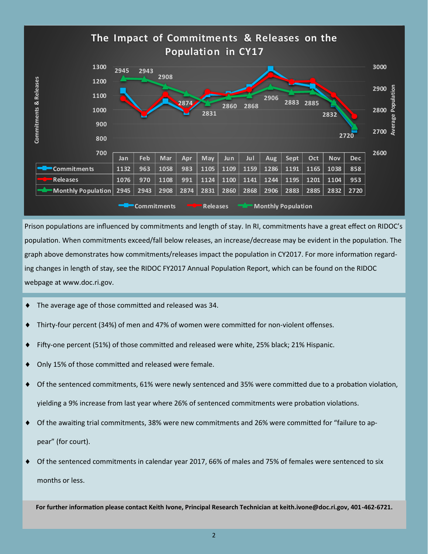

Prison populations are influenced by commitments and length of stay. In RI, commitments have a great effect on RIDOC's population. When commitments exceed/fall below releases, an increase/decrease may be evident in the population. The graph above demonstrates how commitments/releases impact the population in CY2017. For more information regarding changes in length of stay, see the RIDOC FY2017 Annual Population Report, which can be found on the RIDOC webpage at www.doc.ri.gov.

- The average age of those committed and released was 34.
- Thirty-four percent (34%) of men and 47% of women were committed for non-violent offenses.
- Fifty-one percent (51%) of those committed and released were white, 25% black; 21% Hispanic.
- ◆ Only 15% of those committed and released were female.
- Of the sentenced commitments, 61% were newly sentenced and 35% were committed due to a probation violation, yielding a 9% increase from last year where 26% of sentenced commitments were probation violations.
- Of the awaiting trial commitments, 38% were new commitments and 26% were committed for "failure to appear" (for court).
- Of the sentenced commitments in calendar year 2017, 66% of males and 75% of females were sentenced to six months or less.

**For further information please contact Keith Ivone, Principal Research Technician at keith.ivone@doc.ri.gov, 401-462-6721.**